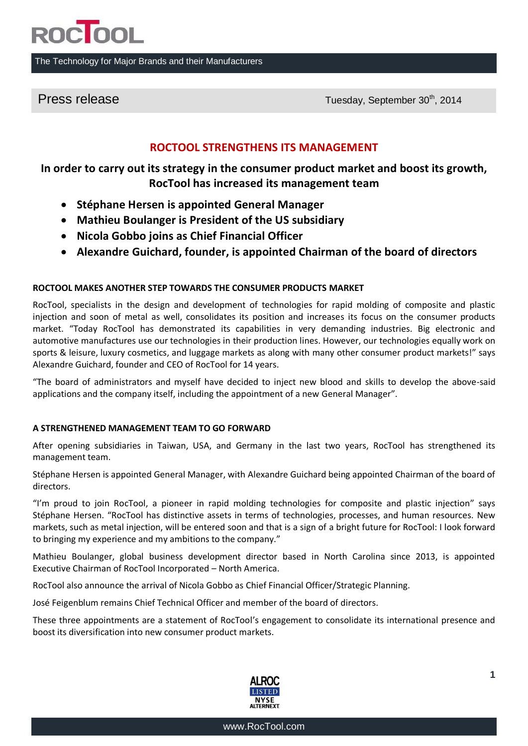

#### The Technology for Major Brands and their Manufacturers

Press release Tuesday, September 30<sup>th</sup>, 2014

## **ROCTOOL STRENGTHENS ITS MANAGEMENT**

**In order to carry out its strategy in the consumer product market and boost its growth, RocTool has increased its management team**

- **Stéphane Hersen is appointed General Manager**
- **Mathieu Boulanger is President of the US subsidiary**
- **Nicola Gobbo joins as Chief Financial Officer**
- **Alexandre Guichard, founder, is appointed Chairman of the board of directors**

### **ROCTOOL MAKES ANOTHER STEP TOWARDS THE CONSUMER PRODUCTS MARKET**

RocTool, specialists in the design and development of technologies for rapid molding of composite and plastic injection and soon of metal as well, consolidates its position and increases its focus on the consumer products market. "Today RocTool has demonstrated its capabilities in very demanding industries. Big electronic and automotive manufactures use our technologies in their production lines. However, our technologies equally work on sports & leisure, luxury cosmetics, and luggage markets as along with many other consumer product markets!" says Alexandre Guichard, founder and CEO of RocTool for 14 years.

"The board of administrators and myself have decided to inject new blood and skills to develop the above-said applications and the company itself, including the appointment of a new General Manager".

#### **A STRENGTHENED MANAGEMENT TEAM TO GO FORWARD**

After opening subsidiaries in Taiwan, USA, and Germany in the last two years, RocTool has strengthened its management team.

Stéphane Hersen is appointed General Manager, with Alexandre Guichard being appointed Chairman of the board of directors.

"I'm proud to join RocTool, a pioneer in rapid molding technologies for composite and plastic injection" says Stéphane Hersen. "RocTool has distinctive assets in terms of technologies, processes, and human resources. New markets, such as metal injection, will be entered soon and that is a sign of a bright future for RocTool: I look forward to bringing my experience and my ambitions to the company."

Mathieu Boulanger, global business development director based in North Carolina since 2013, is appointed Executive Chairman of RocTool Incorporated – North America.

RocTool also announce the arrival of Nicola Gobbo as Chief Financial Officer/Strategic Planning.

José Feigenblum remains Chief Technical Officer and member of the board of directors.

These three appointments are a statement of RocTool's engagement to consolidate its international presence and boost its diversification into new consumer product markets.

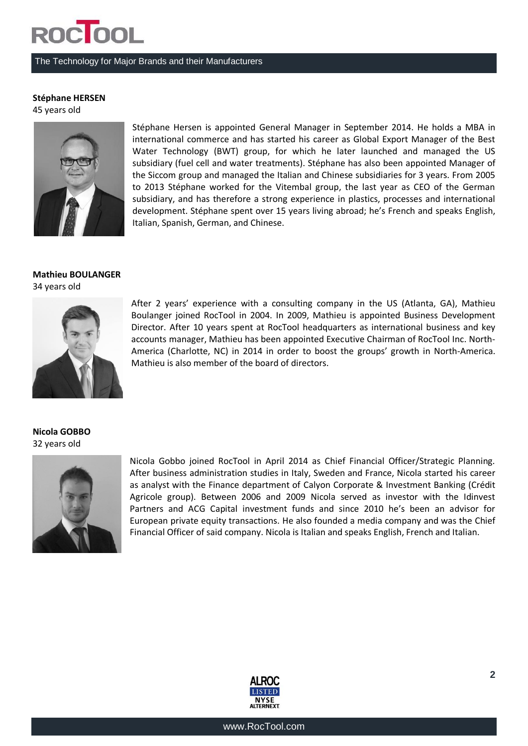# **ROCTOOL**

#### The Technology for Major Brands and their Manufacturers

### **Stéphane HERSEN**

45 years old



Stéphane Hersen is appointed General Manager in September 2014. He holds a MBA in international commerce and has started his career as Global Export Manager of the Best Water Technology (BWT) group, for which he later launched and managed the US subsidiary (fuel cell and water treatments). Stéphane has also been appointed Manager of the Siccom group and managed the Italian and Chinese subsidiaries for 3 years. From 2005 to 2013 Stéphane worked for the Vitembal group, the last year as CEO of the German subsidiary, and has therefore a strong experience in plastics, processes and international development. Stéphane spent over 15 years living abroad; he's French and speaks English, Italian, Spanish, German, and Chinese.

### **Mathieu BOULANGER** 34 years old



After 2 years' experience with a consulting company in the US (Atlanta, GA), Mathieu Boulanger joined RocTool in 2004. In 2009, Mathieu is appointed Business Development Director. After 10 years spent at RocTool headquarters as international business and key accounts manager, Mathieu has been appointed Executive Chairman of RocTool Inc. North-America (Charlotte, NC) in 2014 in order to boost the groups' growth in North-America. Mathieu is also member of the board of directors.

**Nicola GOBBO** 32 years old



Nicola Gobbo joined RocTool in April 2014 as Chief Financial Officer/Strategic Planning. After business administration studies in Italy, Sweden and France, Nicola started his career as analyst with the Finance department of Calyon Corporate & Investment Banking (Crédit Agricole group). Between 2006 and 2009 Nicola served as investor with the Idinvest Partners and ACG Capital investment funds and since 2010 he's been an advisor for European private equity transactions. He also founded a media company and was the Chief Financial Officer of said company. Nicola is Italian and speaks English, French and Italian.